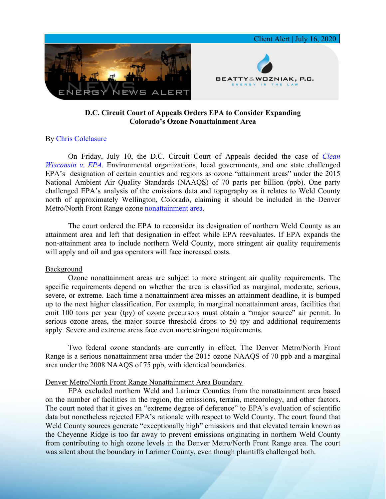

# **D.C. Circuit Court of Appeals Orders EPA to Consider Expanding Colorado's Ozone Nonattainment Area**

## By [Chris Colclasure](https://www.bwenergylaw.com/chris-colclasure)

On Friday, July 10, the D.C. Circuit Court of Appeals decided the case of *[Clean](https://7786d557-4329-4d99-be6b-ee891e97ad6a.filesusr.com/ugd/368105_ff52dded431a4dfcbba7dc29bb5263d8.pdf)  [Wisconsin v. EPA](https://7786d557-4329-4d99-be6b-ee891e97ad6a.filesusr.com/ugd/368105_ff52dded431a4dfcbba7dc29bb5263d8.pdf)*. Environmental organizations, local governments, and one state challenged EPA's designation of certain counties and regions as ozone "attainment areas" under the 2015 National Ambient Air Quality Standards (NAAQS) of 70 parts per billion (ppb). One party challenged EPA's analysis of the emissions data and topography as it relates to Weld County north of approximately Wellington, Colorado, claiming it should be included in the Denver Metro/North Front Range ozone [nonattainment area.](https://7786d557-4329-4d99-be6b-ee891e97ad6a.filesusr.com/ugd/368105_ce93409020aa4c75a56a4c29391f12fb.pdf)

The court ordered the EPA to reconsider its designation of northern Weld County as an attainment area and left that designation in effect while EPA reevaluates. If EPA expands the non-attainment area to include northern Weld County, more stringent air quality requirements will apply and oil and gas operators will face increased costs.

#### Background

Ozone nonattainment areas are subject to more stringent air quality requirements. The specific requirements depend on whether the area is classified as marginal, moderate, serious, severe, or extreme. Each time a nonattainment area misses an attainment deadline, it is bumped up to the next higher classification. For example, in marginal nonattainment areas, facilities that emit 100 tons per year (tpy) of ozone precursors must obtain a "major source" air permit. In serious ozone areas, the major source threshold drops to 50 tpy and additional requirements apply. Severe and extreme areas face even more stringent requirements.

Two federal ozone standards are currently in effect. The Denver Metro/North Front Range is a serious nonattainment area under the 2015 ozone NAAQS of 70 ppb and a marginal area under the 2008 NAAQS of 75 ppb, with identical boundaries.

### Denver Metro/North Front Range Nonattainment Area Boundary

EPA excluded northern Weld and Larimer Counties from the nonattainment area based on the number of facilities in the region, the emissions, terrain, meteorology, and other factors. The court noted that it gives an "extreme degree of deference" to EPA's evaluation of scientific data but nonetheless rejected EPA's rationale with respect to Weld County. The court found that Weld County sources generate "exceptionally high" emissions and that elevated terrain known as the Cheyenne Ridge is too far away to prevent emissions originating in northern Weld County from contributing to high ozone levels in the Denver Metro/North Front Range area. The court was silent about the boundary in Larimer County, even though plaintiffs challenged both.